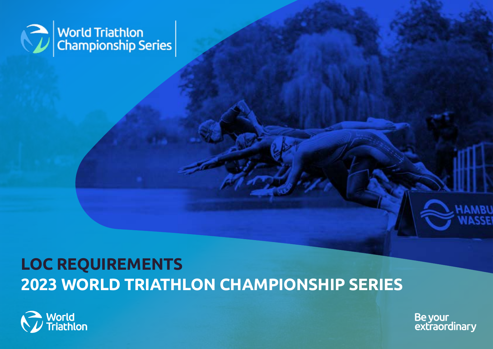

# **LOC REQUIREMENTS 2023 WORLD TRIATHLON CHAMPIONSHIP SERIES**



Be your<br>extraordinary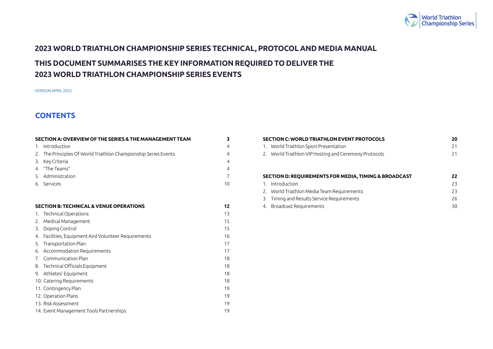

# <span id="page-1-0"></span>**2023 WORLD TRIATHLON CHAMPIONSHIP SERIES TECHNICAL, PROTOCOL AND MEDIA MANUAL**

# **THIS DOCUMENT SUMMARISES THE KEY INFORMATION REQUIRED TO DELIVER THE 2023 WORLD TRIATHLON CHAMPIONSHIP SERIES EVENTS**

VERSION APRIL 2022

# **CONTENTS**

| SECTION A: OVERVIEW OF THE SERIES & THE MANAGEMENT TEAM         | 3              |
|-----------------------------------------------------------------|----------------|
| 1. Introduction                                                 | $\overline{4}$ |
| 2. The Principles Of World Triathlon Championship Series Events | $\overline{4}$ |
| 3. Key Criteria                                                 | $\overline{4}$ |
| 4. "The Teams"                                                  | 4              |
| 5. Administration                                               | $\overline{7}$ |
| 6. Services                                                     | 10             |
|                                                                 |                |
| <b>SECTION B: TECHNICAL &amp; VENUE OPERATIONS</b>              | 12             |
| 1. Technical Operations                                         | 13             |
| 2. Medical Management                                           | 15             |
| 3. Doping Control                                               | 15             |
| 4. Facilities, Equipment And Volunteer Requirements             | 16             |
| 5. Transportation Plan                                          | 17             |
| 6. Accommodation Requirements                                   | 17             |
| 7. Communication Plan                                           | 18             |
| 8. Technical Officials Equipment                                | 18             |
| 9. Athletes' Equipment                                          | 18             |
| 10. Catering Requirements                                       | 18             |
| 11. Contingency Plan                                            | 19             |
| 12. Operation Plans                                             | 19             |
| 13. Risk Assessment                                             | 19             |
| 14. Event Management Tools Partnerships                         | 19             |

|    | <b>SECTION C: WORLD TRIATHLON EVENT PROTOCOLS</b>                | 20 |
|----|------------------------------------------------------------------|----|
| 1. | World Triathlon Sport Presentation                               | 21 |
|    | 2. World Triathlon VIP Hosting and Ceremony Protocols            | 21 |
|    |                                                                  |    |
|    |                                                                  |    |
|    | <b>SECTION D: REQUIREMENTS FOR MEDIA, TIMING &amp; BROADCAST</b> | 22 |
| 1. | Introduction                                                     | 23 |
|    | 2. World Triathlon Media Team Requirements                       | 23 |
| 3. | Timing and Results Service Requirements                          | 26 |
|    | 4. Broadcast Requirements                                        | 30 |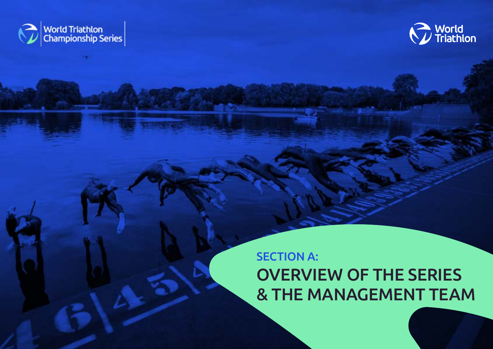<span id="page-2-0"></span>



# SECTION A: OVERVIEW OF THE SERIES & THE MANAGEMENT TEAM

3 | LOC REQUIREMENTS: 2022 WORLD TRIATHLON CHAMPIONSHIP SERIES – APRIL 2021 [BACK TO TABLE OF CONTENTS](#page-1-0)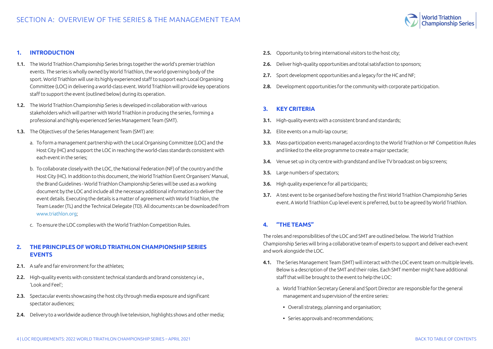

#### <span id="page-3-0"></span>**1. INTRODUCTION**

- 1.1. The World Triathlon Championship Series brings together the world's premier triathlon events. The series is wholly owned by World Triathlon, the world governing body of the sport. World Triathlon will use its highly experienced staff to support each Local Organising Committee (LOC) in delivering a world-class event. World Triathlon will provide key operations staff to support the event (outlined below) during its operation.
- 1.2. The World Triathlon Championship Series is developed in collaboration with various stakeholders which will partner with World Triathlon in producing the series, forming a professional and highly experienced Series Management Team (SMT).
- 1.3. The Objectives of the Series Management Team (SMT) are:
	- a. To form a management partnership with the Local Organising Committee (LOC) and the Host City (HC) and support the LOC in reaching the world-class standards consistent with each event in the series;
	- b. To collaborate closely with the LOC, the National Federation (NF) of the country and the Host City (HC). In addition to this document, the World Triathlon Event Organisers' Manual, the Brand Guidelines - World Triathlon Championship Series will be used as a working document by the LOC and include all the necessary additional information to deliver the event details. Executing the details is a matter of agreement with World Triathlon, the Team Leader (TL) and the Technical Delegate (TD). All documents can be downloaded from [www.triathlon.org;](http://www.triathlon.org)
	- c. To ensure the LOC complies with the World Triathlon Competition Rules.

## **2. THE PRINCIPLES OF WORLD TRIATHLON CHAMPIONSHIP SERIES EVENTS**

- 2.1. A safe and fair environment for the athletes;
- 2.2. High-quality events with consistent technical standards and brand consistency i.e., 'Look and Feel';
- 2.3. Spectacular events showcasing the host city through media exposure and significant spectator audiences;
- 2.4. Delivery to a worldwide audience through live television, highlights shows and other media:
- 2.5. Opportunity to bring international visitors to the host city;
- 2.6. Deliver high-quality opportunities and total satisfaction to sponsors:
- 2.7. Sport development opportunities and a legacy for the HC and NF;
- 2.8. Development opportunities for the community with corporate participation.

#### **3. KEY CRITERIA**

- 3.1. High-quality events with a consistent brand and standards;
- 3.2. Elite events on a multi-lap course;
- 3.3. Mass-participation events managed according to the World Triathlon or NF Competition Rules and linked to the elite programme to create a major spectacle;
- 3.4. Venue set up in city centre with grandstand and live TV broadcast on big screens:
- 3.5. Large numbers of spectators;
- 3.6. High quality experience for all participants;
- 3.7. A test event to be organised before hosting the first World Triathlon Championship Series event. A World Triathlon Cup level event is preferred, but to be agreed by World Triathlon.

## **4. "THE TEAMS"**

The roles and responsibilities of the LOC and SMT are outlined below. The World Triathlon Championship Series will bring a collaborative team of experts to support and deliver each event and work alongside the LOC.

- 4.1. The Series Management Team (SMT) will interact with the LOC event team on multiple levels. Below is a description of the SMT and their roles. Each SMT member might have additional staff that will be brought to the event to help the LOC:
	- a. World Triathlon Secretary General and Sport Director are responsible for the general management and supervision of the entire series:
		- Overall strategy, planning and organisation;
		- Series approvals and recommendations;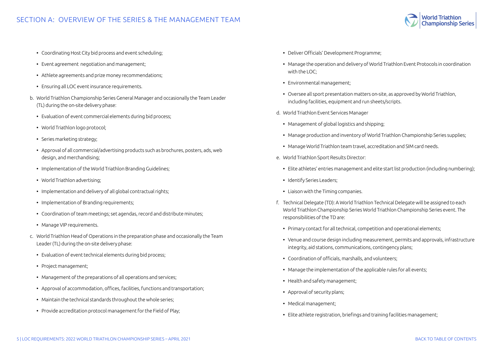

- Coordinating Host City bid process and event scheduling;
- Event agreement negotiation and management;
- Athlete agreements and prize money recommendations;
- Ensuring all LOC event insurance requirements.
- b. World Triathlon Championship Series General Manager and occasionally the Team Leader (TL) during the on-site delivery phase:
	- Evaluation of event commercial elements during bid process;
	- World Triathlon logo protocol;
	- Series marketing strategy;
	- Approval of all commercial/advertising products such as brochures, posters, ads, web design, and merchandising;
	- Implementation of the World Triathlon Branding Guidelines;
	- World Triathlon advertising;
	- Implementation and delivery of all global contractual rights;
	- Implementation of Branding requirements;
	- Coordination of team meetings; set agendas, record and distribute minutes;
	- Manage VIP requirements.
- c. World Triathlon Head of Operations in the preparation phase and occasionally the Team Leader (TL) during the on-site delivery phase:
	- Evaluation of event technical elements during bid process;
	- Project management;
	- Management of the preparations of all operations and services;
	- Approval of accommodation, offices, facilities, functions and transportation;
	- Maintain the technical standards throughout the whole series;
	- Provide accreditation protocol management for the Field of Play;
- Deliver Officials' Development Programme;
- Manage the operation and delivery of World Triathlon Event Protocols in coordination with the LOC;
- Environmental management;
- Oversee all sport presentation matters on-site, as approved by World Triathlon, including facilities, equipment and run sheets/scripts.
- d. World Triathlon Event Services Manager
	- Management of global logistics and shipping;
	- Manage production and inventory of World Triathlon Championship Series supplies;
	- Manage World Triathlon team travel, accreditation and SIM card needs.
- e. World Triathlon Sport Results Director:
	- Elite athletes' entries management and elite start list production (including numbering);
	- Identify Series Leaders;
	- Liaison with the Timing companies.
- f. Technical Delegate (TD): A World Triathlon Technical Delegate will be assigned to each World Triathlon Championship Series World Triathlon Championship Series event. The responsibilities of the TD are:
	- Primary contact for all technical, competition and operational elements;
	- Venue and course design including measurement, permits and approvals, infrastructure integrity, aid stations, communications, contingency plans;
	- Coordination of officials, marshalls, and volunteers;
	- Manage the implementation of the applicable rules for all events;
	- Health and safety management;
	- Approval of security plans;
	- Medical management;
	- Elite athlete registration, briefings and training facilities management;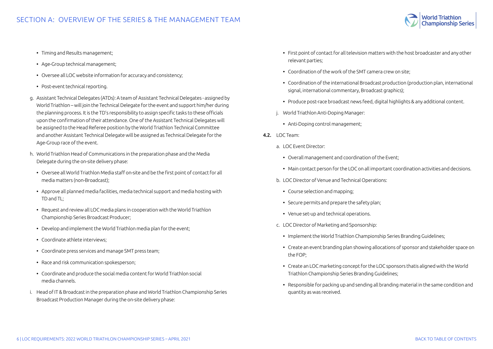

- Timing and Results management;
- Age-Group technical management;
- Oversee all LOC website information for accuracy and consistency;
- Post-event technical reporting.
- g. Assistant Technical Delegates (ATDs): A team of Assistant Technical Delegates assigned by World Triathlon – will join the Technical Delegate for the event and support him/her during the planning process. It is the TD's responsibility to assign specific tasks to these officials upon the confirmation of their attendance. One of the Assistant Technical Delegates will be assigned to the Head Referee position by the World Triathlon Technical Committee and another Assistant Technical Delegate will be assigned as Technical Delegate for the Age-Group race of the event.
- h. World Triathlon Head of Communications in the preparation phase and the Media Delegate during the on-site delivery phase:
	- Oversee all World Triathlon Media staff on-site and be the first point of contact for all media matters (non-Broadcast);
	- Approve all planned media facilities, media technical support and media hosting with TD and TL;
	- Request and review all LOC media plans in cooperation with the World Triathlon Championship Series Broadcast Producer;
	- Develop and implement the World Triathlon media plan for the event;
	- Coordinate athlete interviews;
	- Coordinate press services and manage SMT press team;
	- Race and risk communication spokesperson;
	- Coordinate and produce the social media content for World Triathlon social media channels.
- i. Head of IT & Broadcast in the preparation phase and World Triathlon Championship Series Broadcast Production Manager during the on-site delivery phase:
- First point of contact for all television matters with the host broadcaster and any other relevant parties;
- Coordination of the work of the SMT camera crew on site;
- Coordination of the international Broadcast production (production plan, international signal, international commentary, Broadcast graphics);
- Produce post-race broadcast news feed, digital highlights & any additional content.
- j. World Triathlon Anti-Doping Manager:
	- Anti-Doping control management;
- 4.2. LOC Team:
	- a. LOC Event Director:
		- Overall management and coordination of the Event;
		- Main contact person for the LOC on all important coordination activities and decisions.
	- b. LOC Director of Venue and Technical Operations:
		- Course selection and mapping;
		- Secure permits and prepare the safety plan;
		- Venue set-up and technical operations.
	- c. LOC Director of Marketing and Sponsorship:
		- Implement the World Triathlon Championship Series Branding Guidelines;
		- Create an event branding plan showing allocations of sponsor and stakeholder space on the FOP;
		- Create an LOC marketing concept for the LOC sponsors thatis aligned with the World Triathlon Championship Series Branding Guidelines;
		- Responsible for packing up and sending all branding material in the same condition and quantity as was received.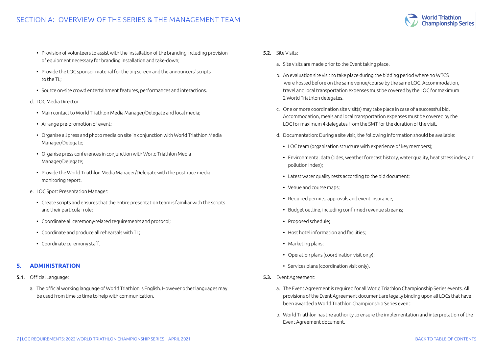# <span id="page-6-0"></span>SECTION A: OVERVIEW OF THE SERIES & THE MANAGEMENT TEAM

- Provision of volunteers to assist with the installation of the branding including provision of equipment necessary for branding installation and take-down;
- Provide the LOC sponsor material for the big screen and the announcers' scripts to the TL;
- Source on-site crowd entertainment features, performances and interactions.

#### d. LOC Media Director:

- Main contact to World Triathlon Media Manager/Delegate and local media;
- Arrange pre-promotion of event;
- Organise all press and photo media on site in conjunction with World Triathlon Media Manager/Delegate;
- Organise press conferences in conjunction with World Triathlon Media Manager/Delegate;
- Provide the World Triathlon Media Manager/Delegate with the post-race media monitoring report.
- e. LOC Sport Presentation Manager:
	- Create scripts and ensures that the entire presentation team is familiar with the scripts and their particular role;
	- Coordinate all ceremony-related requirements and protocol;
	- Coordinate and produce all rehearsals with TL;
	- Coordinate ceremony staff.

#### **5. ADMINISTRATION**

- 5.1. Official Language:
	- a. The official working language of World Triathlon is English. However other languages may be used from time to time to help with communication.
- 5.2. Site Visits:
	- a. Site visits are made prior to the Event taking place.
	- b. An evaluation site visit to take place during the bidding period where no WTCS were hosted before on the same venue/course by the same LOC. Accommodation, travel and local transportation expenses must be covered by the LOC for maximum 2 World Triathlon delegates.
	- c. One or more coordination site visit(s) may take place in case of a successful bid. Accommodation, meals and local transportation expenses must be covered by the LOC for maximum 4 delegates from the SMT for the duration of the visit.
	- d. Documentation: During a site visit, the following information should be available:
		- LOC team (organisation structure with experience of key members);
		- Environmental data (tides, weather forecast history, water quality, heat stress index, air pollution index);
		- Latest water quality tests according to the bid document;
		- Venue and course maps;
		- Required permits, approvals and event insurance;
		- Budget outline, including confirmed revenue streams;
		- Proposed schedule;
		- Host hotel information and facilities;
		- Marketing plans;
		- Operation plans (coordination visit only);
		- Services plans (coordination visit only).
- 5.3. Event Agreement:
	- a. The Event Agreement is required for all World Triathlon Championship Series events. All provisions of the Event Agreement document are legally binding upon all LOCs that have been awarded a World Triathlon Championship Series event.
	- b. World Triathlon has the authority to ensure the implementation and interpretation of the Event Agreement document.

**Championship Series**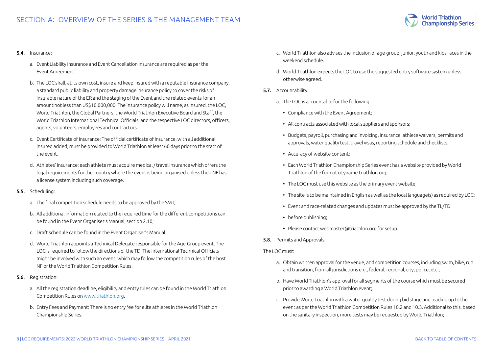

#### 5.4. Insurance:

- a. Event Liability Insurance and Event Cancellation Insurance are required as per the Event Agreement.
- b. The LOC shall, at its own cost, insure and keep insured with a reputable insurance company, a standard public liability and property damage insurance policy to cover the risks of insurable nature of the ER and the staging of the Event and the related events for an amount not less than US\$10,000,000. The insurance policy will name, as insured, the LOC, World Triathlon, the Global Partners, the World Triathlon Executive Board and Staff, the World Triathlon International Technical Officials, and the respective LOC directors, officers, agents, volunteers, employees and contractors.
- c. Event Certificate of Insurance: The official certificate of insurance, with all additional insured added, must be provided to World Triathlon at least 60 days prior to the start of the event.
- d. Athletes' Insurance: each athlete must acquire medical / travel insurance which offers the legal requirements for the country where the event is being organised unless their NF has a license system including such coverage.
- 5.5. Scheduling:
	- a. The final competition schedule needs to be approved by the SMT;
	- b. All additional information related to the required time for the different competitions can be found in the Event Organiser's Manual, section 2.10;
	- c. Draft schedule can be found in the Event Organiser's Manual:
	- d. World Triathlon appoints a Technical Delegate responsible for the Age-Group event. The LOC is required to follow the directions of the TD. The international Technical Officials might be involved with such an event, which may follow the competition rules of the host NF or the World Triathlon Competition Rules.
- 5.6. Registration:
	- a. All the registration deadline, eligibility and entry rules can be found in the World Triathlon Competition Rules on [www.triathlon.org.](http://www.triathlon.org)
	- b. Entry Fees and Payment: There is no entry fee for elite athletes in the World Triathlon Championship Series.
- c. World Triathlon also advises the inclusion of age-group, junior, youth and kids races in the weekend schedule.
- d. World Triathlon expects the LOC to use the suggested entry software system unless otherwise agreed.
- 5.7. Accountability:
	- a. The LOC is accountable for the following:
		- Compliance with the Event Agreement;
		- All contracts associated with local suppliers and sponsors;
		- Budgets, payroll, purchasing and invoicing, insurance, athlete waivers, permits and approvals, water quality test, travel visas, reporting schedule and checklists;
		- Accuracy of website content:
		- Each World Triathlon Championship Series event has a website provided by World Triathlon of the format cityname.triathlon.org;
		- The LOC must use this website as the primary event website;
		- The site is to be maintained in English as well as the local language(s) as required by LOC;
		- Event and race-related changes and updates must be approved by the TL/TD
		- before publishing;
		- Please contact webmaster@triathlon.org for setup.
- 5.8. Permits and Approvals:

The LOC must:

- a. Obtain written approval for the venue, and competition courses, including swim, bike, run and transition, from all jurisdictions e.g., federal, regional, city, police, etc.;
- b. Have World Triathlon's approval for all segments of the course which must be secured prior to awarding a World Triathlon event;
- c. Provide World Triathlon with a water quality test during bid stage and leading up to the event as per the World Triathlon Competition Rules 10.2 and 10.3. Additional to this, based on the sanitary inspection, more tests may be requested by World Triathlon;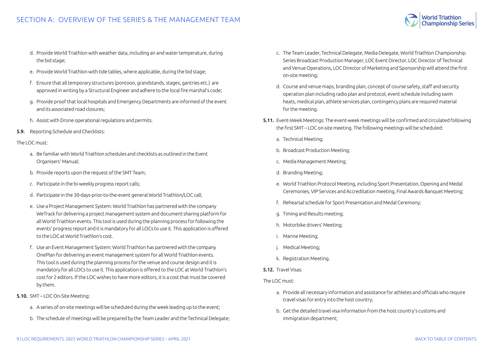

- d. Provide World Triathlon with weather data, including air and water temperature, during the bid stage;
- e. Provide World Triathlon with tide tables, where applicable, during the bid stage;
- f. Ensure that all temporary structures (pontoon, grandstands, stages, gantries etc.) are approved in writing by a Structural Engineer and adhere to the local fire marshal's code;
- g. Provide proof that local hospitals and Emergency Departments are informed of the event and its associated road closures;
- h. Assist with Drone operational regulations and permits.
- 5.9. Reporting Schedule and Checklists:

#### The LOC must:

- a. Be familiar with World Triathlon schedules and checklists as outlined in the Event Organisers' Manual;
- b. Provide reports upon the request of the SMT Team;
- c. Participate in the bi-weekly progress report calls;
- d. Participate in the 30-days-prior-to-the-event general World Triathlon/LOC call;
- e. Use a Project Management System: World Triathlon has partnered with the company WeTrack for delivering a project management system and document sharing platform for all World Triathlon events. This tool is used during the planning process for following the events' progress report and it is mandatory for all LOCs to use it. This application is offered to the LOC at World Triathlon's cost.
- f. Use an Event Management System: World Triathlon has partnered with the company OnePlan for delivering an event management system for all World Triathlon events. This tool is used during the planning process for the venue and course design and it is mandatory for all LOCs to use it. This application is offered to the LOC at World Triathlon's cost for 2 editors. If the LOC wishes to have more editors, it is a cost that must be covered by them.
- 5.10. SMT LOC On-Site Meeting:
	- a. A series of on-site meetings will be scheduled during the week leading up to the event;
	- b. The schedule of meetings will be prepared by the Team Leader and the Technical Delegate;
- c. The Team Leader, Technical Delegate, Media Delegate, World Triathlon Championship Series Broadcast Production Manager, LOC Event Director, LOC Director of Technical and Venue Operations, LOC Director of Marketing and Sponsorship will attend the first on-site meeting;
- d. Course and venue maps, branding plan, concept of course safety, staff and security operation plan including radio plan and protocol, event schedule including swim heats, medical plan, athlete services plan, contingency plans are required material for the meeting.
- 5.11. Event-Week Meetings: The event-week meetings will be confirmed and circulated following the first SMT – LOC on-site meeting. The following meetings will be scheduled:
	- a. Technical Meeting;
	- b. Broadcast Production Meeting;
	- c. Media Management Meeting;
	- d. Branding Meeting;
	- e. World Triathlon Protocol Meeting, including Sport Presentation, Opening and Medal Ceremonies, VIP Services and Accreditation meeting, Final Awards Banquet Meeting;
	- f. Rehearsal schedule for Sport Presentation and Medal Ceremony;
	- g. Timing and Results meeting;
	- h. Motorbike drivers' Meeting;
	- i. Marine Meeting;
	- j. Medical Meeting;
	- k. Registration Meeting.
- 5.12. Travel Visas:

The LOC must:

- a. Provide all necessary information and assistance for athletes and officials who require travel visas for entry into the host country;
- b. Get the detailed travel visa information from the host country's customs and immigration department;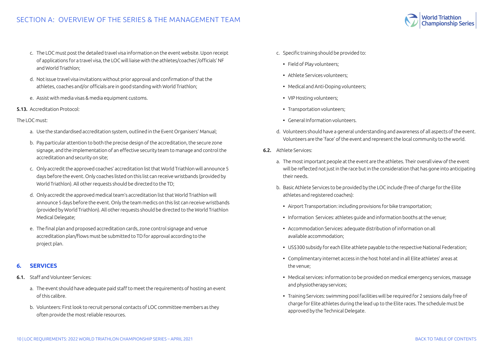# <span id="page-9-0"></span>SECTION A: OVERVIEW OF THE SERIES & THE MANAGEMENT TEAM

- c. The LOC must post the detailed travel visa information on the event website. Upon receipt of applications for a travel visa, the LOC will liaise with the athletes/coaches'/officials' NF and World Triathlon;
- d. Not issue travel visa invitations without prior approval and confirmation of that the athletes, coaches and/or officials are in good standing with World Triathlon;
- e. Assist with media visas & media equipment customs.
- 5.13. Accreditation Protocol:

The LOC must:

- a. Use the standardised accreditation system, outlined in the Event Organisers' Manual;
- b. Pay particular attention to both the precise design of the accreditation, the secure zone signage, and the implementation of an effective security team to manage and control the accreditation and security on site;
- c. Only accredit the approved coaches' accreditation list that World Triathlon will announce 5 days before the event. Only coaches listed on this list can receive wristbands (provided by World Triathlon). All other requests should be directed to the TD;
- d. Only accredit the approved medical team's accreditation list that World Triathlon will announce 5 days before the event. Only the team medics on this list can receive wristbands (provided by World Triathlon). All other requests should be directed to the World Triathlon Medical Delegate;
- e. The final plan and proposed accreditation cards, zone control signage and venue accreditation plan/flows must be submitted to TD for approval according to the project plan.

#### **6. SERVICES**

- 6.1. Staff and Volunteer Services:
	- a. The event should have adequate paid staff to meet the requirements of hosting an event of this calibre.
	- b. Volunteers: First look to recruit personal contacts of LOC committee members as they often provide the most reliable resources.
- c. Specific training should be provided to:
	- Field of Play volunteers;
	- Athlete Services volunteers;
	- Medical and Anti-Doping volunteers;
	- VIP Hosting volunteers;
	- Transportation volunteers;
	- General Information volunteers.
- d. Volunteers should have a general understanding and awareness of all aspects of the event. Volunteers are the 'face' of the event and represent the local community to the world.
- 6.2. Athlete Services:
	- a. The most important people at the event are the athletes. Their overall view of the event will be reflected not just in the race but in the consideration that has gone into anticipating their needs.
	- b. Basic Athlete Services to be provided by the LOC include (free of charge for the Elite athletes and registered coaches):
		- Airport Transportation: including provisions for bike transportation;
		- Information Services: athletes guide and information booths at the venue;
		- Accommodation Services: adequate distribution of information on all available accommodation;
		- US\$300 subsidy for each Elite athlete payable to the respective National Federation;
		- Complimentary internet access in the host hotel and in all Elite athletes' areas at the venue;
		- Medical services: information to be provided on medical emergency services, massage and physiotherapy services;
		- Training Services: swimming pool facilities will be required for 2 sessions daily free of charge for Elite athletes during the lead up to the Elite races. The schedule must be approved by the Technical Delegate.

**Championship Series**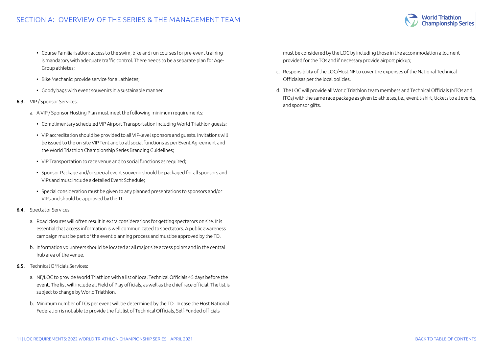

- Course Familiarisation: access to the swim, bike and run courses for pre-event training is mandatory with adequate traffic control. There needs to be a separate plan for Age-Group athletes;
- Bike Mechanic: provide service for all athletes;
- Goody bags with event souvenirs in a sustainable manner.
- 6.3. VIP / Sponsor Services:
	- a. A VIP / Sponsor Hosting Plan must meet the following minimum requirements:
		- Complimentary scheduled VIP Airport Transportation including World Triathlon guests;
		- VIP accreditation should be provided to all VIP-level sponsors and guests. Invitations will be issued to the on-site VIP Tent and to all social functions as per Event Agreement and the World Triathlon Championship Series Branding Guidelines;
		- VIP Transportation to race venue and to social functions as required:
		- Sponsor Package and/or special event souvenir should be packaged for all sponsors and VIPs and must include a detailed Event Schedule;
		- Special consideration must be given to any planned presentations to sponsors and/or VIPs and should be approved by the TL.
- 6.4. Spectator Services:
	- a. Road closures will often result in extra considerations for getting spectators on site. It is essential that access information is well communicated to spectators. A public awareness campaign must be part of the event planning process and must be approved by the TD.
	- b. Information volunteers should be located at all major site access points and in the central hub area of the venue.
- 6.5. Technical Officials Services:
	- a. NF/LOC to provide World Triathlon with a list of local Technical Officials 45 days before the event. The list will include all Field of Play officials, as well as the chief race official. The list is subject to change by World Triathlon.
	- b. Minimum number of TOs per event will be determined by the TD. In case the Host National Federation is not able to provide the full list of Technical Officials, Self-Funded officials

must be considered by the LOC by including those in the accommodation allotment provided for the TOs and if necessary provide airport pickup;

- c. Responsibility of the LOC/Host NF to cover the expenses of the National Technical Officialsas per the local policies.
- d. The LOC will provide all World Triathlon team members and Technical Officials (NTOs and ITOs) with the same race package as given to athletes, i.e., event t-shirt, tickets to all events, and sponsor gifts.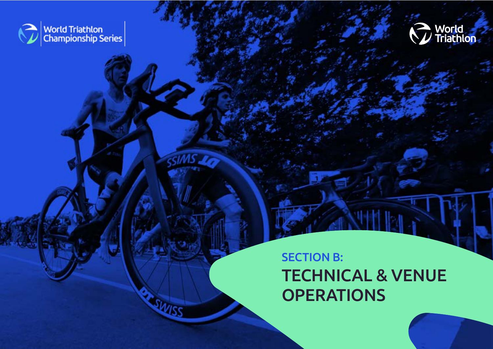<span id="page-11-0"></span>



# SECTION B: TECHNICAL & VENUE **OPERATIONS**

12 | LOC REQUIREMENTS: 2022 WORLD TRIATHLON CHAMPIONSHIP SERIES – APRIL 2021 [BACK TO TABLE OF CONTENTS](#page-1-0) 

**SIMS TO** 

SWISS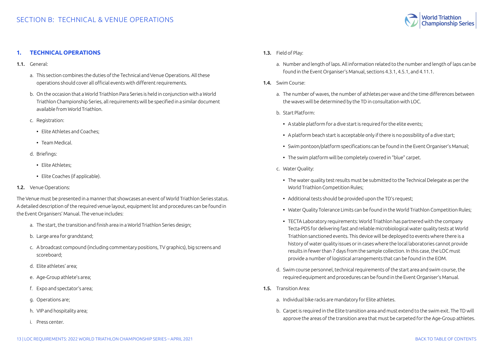

## <span id="page-12-0"></span>**1. TECHNICAL OPERATIONS**

- 1.1. General:
	- a. This section combines the duties of the Technical and Venue Operations. All these operations should cover all official events with different requirements.
	- b. On the occasion that a World Triathlon Para Series is held in conjunction with a World Triathlon Championship Series, all requirements will be specified in a similar document available from World Triathlon.
	- c. Registration:
		- Elite Athletes and Coaches;
		- Team Medical.
	- d. Briefings:
		- Elite Athletes;
		- Elite Coaches (if applicable).
- 1.2. Venue Operations:

The Venue must be presented in a manner that showcases an event of World Triathlon Series status. A detailed description of the required venue layout, equipment list and procedures can be found in the Event Organisers' Manual. The venue includes:

- a. The start, the transition and finish area in a World Triathlon Series design;
- b. Large area for grandstand;
- c. A broadcast compound (including commentary positions, TV graphics), big screens and scoreboard;
- d. Elite athletes' area;
- e. Age-Group athlete's area;
- f. Expo and spectator's area;
- g. Operations are;
- h. VIP and hospitality area;
- i. Press center.
- 1.3. Field of Play:
	- a. Number and length of laps. All information related to the number and length of laps can be found in the Event Organiser's Manual, sections 4.3.1, 4.5.1, and 4.11.1.
- 1.4. Swim Course:
	- a. The number of waves, the number of athletes per wave and the time differences between the waves will be determined by the TD in consultation with LOC.
	- b. Start Platform:
		- A stable platform for a dive start is required for the elite events:
		- A platform beach start is acceptable only if there is no possibility of a dive start;
		- Swim pontoon/platform specifications can be found in the Event Organiser's Manual;
		- The swim platform will be completely covered in "blue" carpet.
	- c. Water Quality:
		- The water quality test results must be submitted to the Technical Delegate as per the World Triathlon Competition Rules;
		- Additional tests should be provided upon the TD's request;
		- Water Quality Tolerance Limits can be found in the World Triathlon Competition Rules;
		- TECTA Laboratory requirements: World Triathlon has partnered with the company Tecta-PDS for delivering fast and reliable microbiological water quality tests at World Triathlon sanctioned events. This device will be deployed to events where there is a history of water quality issues or in cases where the local laboratories cannot provide results in fewer than 7 days from the sample collection. In this case, the LOC must provide a number of logistical arrangements that can be found in the EOM.
	- d. Swim course personnel, technical requirements of the start area and swim course, the required equipment and procedures can be found in the Event Organiser's Manual.
- 1.5. Transition Area:
	- a. Individual bike racks are mandatory for Elite athletes.
	- b. Carpet is required in the Elite transition area and must extend to the swim exit. The TD will approve the areas of the transition area that must be carpeted for the Age-Group athletes.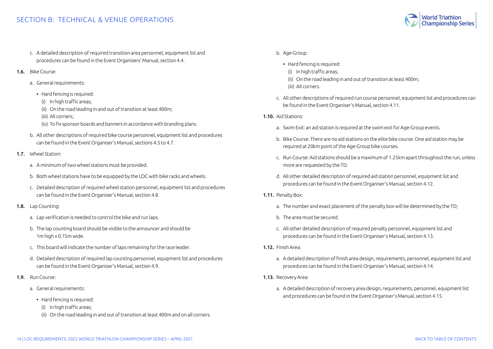# SECTION B: TECHNICAL & VENUE OPERATIONS

- c. A detailed description of required transition area personnel, equipment list and procedures can be found in the Event Organisers' Manual, section 4.4.
- 1.6. Bike Course:
	- a. General requirements:
		- Hard fencing is required:
		- (i) In high traffic areas;
		- (ii) On the road leading in and out of transition at least 400m;
		- (iii) All corners;
		- (iv) To fix sponsor boards and banners in accordance with branding plans.
	- b. All other descriptions of required bike course personnel, equipment list and procedures can be found in the Event Organiser's Manual, sections 4.5 to 4.7.
- 1.7. Wheel Station:
	- a. A minimum of two wheel stations must be provided.
	- b. Both wheel stations have to be equipped by the LOC with bike racks and wheels.
	- c. Detailed description of required wheel station personnel, equipment list and procedures can be found in the Event Organiser's Manual, section 4.8.
- 1.8. Lap Counting:
	- a. Lap verification is needed to control the bike and run laps.
	- b. The lap counting board should be visible to the announcer and should be 1m high x 0.75m wide.
	- c. This board will indicate the number of laps remaining for the race leader.
	- d. Detailed description of required lap counting personnel, equipment list and procedures can be found in the Event Organiser's Manual, section 4.9.
- 1.9. Run Course:
	- a. General requirements:
		- Hard fencing is required:
			- (i) In high traffic areas;
		- (ii) On the road leading in and out of transition at least 400m and on all corners.

### b. Age-Group:

- Hard fencing is required:
	- (i) In high traffic areas;
	- (ii) On the road leading in and out of transition at least 400m;
	- (iii) All corners.
- c. All other descriptions of required run course personnel, equipment list and procedures can be found in the Event Organiser's Manual, section 4.11.
- 1.10. Aid Stations:
	- a. Swim Exit: an aid station is required at the swim exit for Age-Group events.
	- b. Bike Course: There are no aid stations on the elite bike course. One aid station may be required at 20km point of the Age-Group bike courses.
	- c. Run Course: Aid stations should be a maximum of 1.25km apart throughout the run, unless more are requested by the TD.
	- d. All other detailed description of required aid station personnel, equipment list and procedures can be found in the Event Organiser's Manual, section 4.12.
- 1.11. Penalty Box:
	- a. The number and exact placement of the penalty box will be determined by the TD;
	- b. The area must be secured.
	- c. All other detailed description of required penalty personnel, equipment list and procedures can be found in the Event Organiser's Manual, section 4.13.
- 1.12. Finish Area:
	- a. A detailed description of finish area design, requirements, personnel, equipment list and procedures can be found in the Event Organiser's Manual, section 4.14.
- 1.13. Recovery Area:
	- a. A detailed description of recovery area design, requirements, personnel, equipment list and procedures can be found in the Event Organiser's Manual, section 4.15.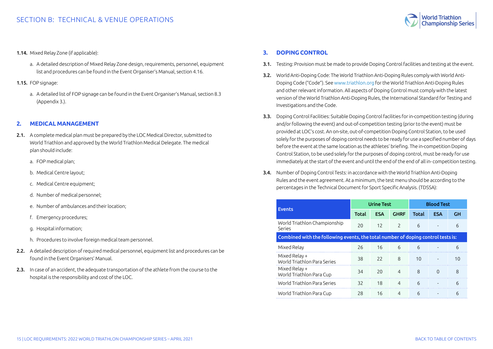

#### <span id="page-14-0"></span>1.14. Mixed Relay Zone (if applicable):

- a. A detailed description of Mixed Relay Zone design, requirements, personnel, equipment list and procedures can be found in the Event Organiser's Manual, section 4.16.
- 1.15. FOP signage:
	- a. A detailed list of FOP signage can be found in the Event Organiser's Manual, section 8.3 (Appendix 3.).

#### **2. MEDICAL MANAGEMENT**

- 2.1. A complete medical plan must be prepared by the LOC Medical Director, submitted to World Triathlon and approved by the World Triathlon Medical Delegate. The medical plan should include:
	- a. FOP medical plan;
	- b. Medical Centre layout;
	- c. Medical Centre equipment;
	- d. Number of medical personnel;
	- e. Number of ambulances and their location;
	- f. Emergency procedures;
	- g. Hospital information;
	- h. Procedures to involve foreign medical team personnel.
- 2.2. A detailed description of required medical personnel, equipment list and procedures can be found in the Event Organisers' Manual.
- 2.3. In case of an accident, the adequate transportation of the athlete from the course to the hospital is the responsibility and cost of the LOC.

### **3. DOPING CONTROL**

- 3.1. Testing: Provision must be made to provide Doping Control facilities and testing at the event.
- 3.2. World Anti-Doping Code: The World Triathlon Anti-Doping Rules comply with World Anti-Doping Code ("Code"). See [www.triathlon.org](http://www.triathlon.org) for the World Triathlon Anti-Doping Rules and other relevant information. All aspects of Doping Control must comply with the latest version of the World Triathlon Anti-Doping Rules, the International Standard for Testing and Investigations and the Code.
- 3.3. Doping Control Facilities: Suitable Doping Control facilities for in-competition testing (during and/or following the event) and out-of-competition testing (prior to the event) must be provided at LOC's cost. An on-site, out-of-competition Doping Control Station, to be used solely for the purposes of doping control needs to be ready for use a specified number of days before the event at the same location as the athletes' briefing. The in-competition Doping Control Station, to be used solely for the purposes of doping control, must be ready for use immediately at the start of the event and until the end of the end of all in- competition testing.
- 3.4. Number of Doping Control Tests: in accordance with the World Triathlon Anti-Doping Rules and the event agreement. At a minimum, the test menu should be according to the percentages in the Technical Document for Sport Specific Analysis. (TDSSA):

|                                                                                  |       | <b>Urine Test</b> |                | <b>Blood Test</b> |            |    |
|----------------------------------------------------------------------------------|-------|-------------------|----------------|-------------------|------------|----|
| <b>Events</b>                                                                    | Total | <b>ESA</b>        | <b>GHRF</b>    | <b>Total</b>      | <b>ESA</b> | GН |
| World Triathlon Championship<br>Series                                           | 20    | 12                | $\mathcal{L}$  | 6                 |            | 6  |
| Combined with the following events, the total number of doping control tests is: |       |                   |                |                   |            |    |
| Mixed Relay                                                                      | 26    | 16 6              |                | 6                 |            | 6  |
| Mixed Relay +<br>World Triathlon Para Series                                     | 38    | 22                | 8              | 10                |            | 10 |
| Mixed Relay +<br>World Triathlon Para Cup                                        | 34    | 20                | $\overline{4}$ | 8                 | $\Omega$   | 8  |
| World Triathlon Para Series                                                      | 32    | 18                | $\overline{4}$ | $\epsilon$        |            | 6  |
| World Triathlon Para Cup                                                         | 28    | 16                | 4              | 6                 |            | 6  |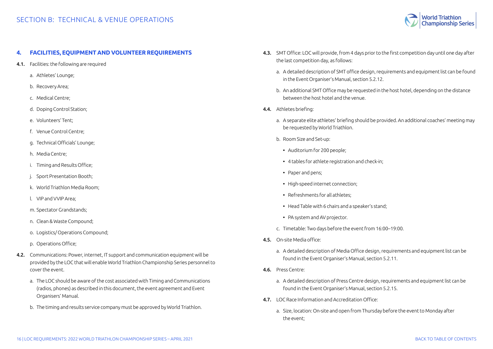

## <span id="page-15-0"></span>**4. FACILITIES, EQUIPMENT AND VOLUNTEER REQUIREMENTS**

- 4.1. Facilities: the following are required
	- a. Athletes' Lounge;
	- b. Recovery Area;
	- c. Medical Centre;
	- d. Doping Control Station;
	- e. Volunteers' Tent;
	- f. Venue Control Centre;
	- g. Technical Officials' Lounge;
	- h. Media Centre;
	- i. Timing and Results Office;
	- Sport Presentation Booth;
	- k. World Triathlon Media Room;
	- l. VIP and VVIP Area;
	- m. Spectator Grandstands;
	- n. Clean & Waste Compound;
	- o. Logistics/ Operations Compound;
	- p. Operations Office;
- 4.2. Communications: Power, internet, IT support and communication equipment will be provided by the LOC that will enable World Triathlon Championship Series personnel to cover the event.
	- a. The LOC should be aware of the cost associated with Timing and Communications (radios, phones) as described in this document, the event agreement and Event Organisers' Manual.
	- b. The timing and results service company must be approved by World Triathlon.
- 4.3. SMT Office: LOC will provide, from 4 days prior to the first competition day until one day after the last competition day, as follows:
	- a. A detailed description of SMT office design, requirements and equipment list can be found in the Event Organiser's Manual, section 5.2.12.
	- b. An additional SMT Office may be requested in the host hotel, depending on the distance between the host hotel and the venue.
- 4.4. Athletes briefing:
	- a. A separate elite athletes' briefing should be provided. An additional coaches' meeting may be requested by World Triathlon.
	- b. Room Size and Set-up:
		- Auditorium for 200 people;
		- 4 tables for athlete registration and check-in;
		- Paper and pens;
		- High-speed internet connection;
		- Refreshments for all athletes;
		- Head Table with 6 chairs and a speaker's stand;
		- PA system and AV projector.
	- c. Timetable: Two days before the event from 16:00–19:00.
- 4.5. On-site Media office:
	- a. A detailed description of Media Office design, requirements and equipment list can be found in the Event Organiser's Manual, section 5.2.11.
- 4.6. Press Centre:
	- a. A detailed description of Press Centre design, requirements and equipment list can be found in the Event Organiser's Manual, section 5.2.15.
- 4.7. LOC Race Information and Accreditation Office:
	- a. Size, location: On-site and open from Thursday before the event to Monday after the event;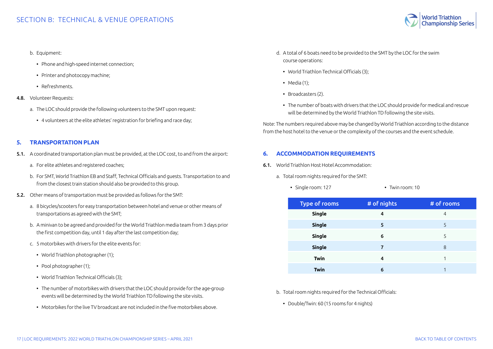#### <span id="page-16-0"></span>b. Equipment:

- Phone and high-speed internet connection;
- Printer and photocopy machine;
- Refreshments.
- 4.8. Volunteer Requests:
	- a. The LOC should provide the following volunteers to the SMT upon request:
		- 4 volunteers at the elite athletes' registration for briefing and race day;

## **5. TRANSPORTATION PLAN**

- 5.1. A coordinated transportation plan must be provided, at the LOC cost, to and from the airport:
	- a. For elite athletes and registered coaches;
	- b. For SMT, World Triathlon EB and Staff, Technical Officials and guests. Transportation to and from the closest train station should also be provided to this group.
- 5.2. Other means of transportation must be provided as follows for the SMT:
	- a. 8 bicycles/scooters for easy transportation between hotel and venue or other means of transportations as agreed with the SMT;
	- b. A minivan to be agreed and provided for the World Triathlon media team from 3 days prior the first competition day, until 1 day after the last competition day;
	- c. 5 motorbikes with drivers for the elite events for:
		- World Triathlon photographer (1);
		- Pool photographer (1);
		- World Triathlon Technical Officials (3);
		- The number of motorbikes with drivers that the LOC should provide for the age-group events will be determined by the World Triathlon TD following the site visits.
		- Motorbikes for the live TV broadcast are not included in the five motorbikes above.
- d. A total of 6 boats need to be provided to the SMT by the LOC for the swim course operations:
	- World Triathlon Technical Officials (3);
	- Media (1);
	- Broadcasters (2).
	- The number of boats with drivers that the LOC should provide for medical and rescue will be determined by the World Triathlon TD following the site visits.

Note: The numbers required above may be changed by World Triathlon according to the distance from the host hotel to the venue or the complexity of the courses and the event schedule.

# **6. ACCOMMODATION REQUIREMENTS**

- 6.1. World Triathlon Host Hotel Accommodation:
	- a. Total room nights required for the SMT:
		- Single room: 127 Twin room: 10

| <b>Type of rooms</b> | # of nights | # of rooms |
|----------------------|-------------|------------|
| <b>Single</b>        | 4           | 4          |
| <b>Single</b>        | 5           | 5          |
| <b>Single</b>        | 6           | 5          |
| <b>Single</b>        | 7           | 8          |
| <b>Twin</b>          | 4           |            |
| <b>Twin</b>          | 6           |            |

b. Total room nights required for the Technical Officials:

• Double/Twin: 60 (15 rooms for 4 nights)

**Championship Series**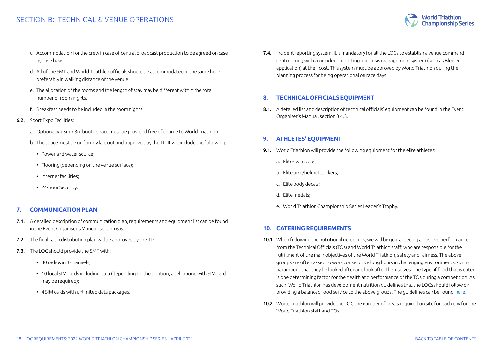# <span id="page-17-0"></span>SECTION B: TECHNICAL & VENUE OPERATIONS

**Championship Series** 

- c. Accommodation for the crew in case of central broadcast production to be agreed on case by case basis.
- d. All of the SMT and World Triathlon officials should be accommodated in the same hotel, preferably in walking distance of the venue.
- e. The allocation of the rooms and the length of stay may be different within the total number of room nights.
- f. Breakfast needs to be included in the room nights.
- 6.2. Sport Expo Facilities:
	- a. Optionally a 3m x 3m booth space must be provided free of charge to World Triathlon.
	- b. The space must be uniformly laid out and approved by the TL. It will include the following:
		- Power and water source;
		- Flooring (depending on the venue surface);
		- Internet facilities;
		- 24-hour Security.

## **7. COMMUNICATION PLAN**

- 7.1. A detailed description of communication plan, requirements and equipment list can be found in the Event Organiser's Manual, section 6.6.
- 7.2. The final radio distribution plan will be approved by the TD.
- 7.3. The LOC should provide the SMT with:
	- 30 radios in 3 channels;
	- 10 local SIM cards including data (depending on the location, a cell phone with SIM card may be required);
	- 4 SIM cards with unlimited data packages.

7.4. Incident reporting system: It is mandatory for all the LOCs to establish a venue command centre along with an incident reporting and crisis management system (such as Blerter application) at their cost. This system must be approved by World Triathlon during the planning process for being operational on race days.

# **8. TECHNICAL OFFICIALS EQUIPMENT**

8.1. A detailed list and description of technical officials' equipment can be found in the Event Organiser's Manual, section 3.4.3.

# **9. ATHLETES' EQUIPMENT**

- 9.1. World Triathlon will provide the following equipment for the elite athletes:
	- a. Elite swim caps;
	- b. Elite bike/helmet stickers;
	- c. Elite body decals;
	- d. Elite medals;
	- e. World Triathlon Championship Series Leader's Trophy.

## **10. CATERING REQUIREMENTS**

- 10.1. When following the nutritional guidelines, we will be guaranteeing a positive performance from the Technical Officials (TOs) and World Triathlon staff, who are responsible for the fulfillment of the main objectives of the World Triathlon, safety and fairness. The above groups are often asked to work consecutive long hours in challenging environments, so it is paramount that they be looked after and look after themselves. The type of food that is eaten is one determining factor for the health and performance of the TOs during a competition. As such, World Triathlon has development nutrition guidelines that the LOCs should follow on providing a balanced food service to the above groups. The guidelines can be found [here.](https://www.triathlon.org/uploads/docs/TO_Nutrition_v3.pdf
)
- 10.2. World Triathlon will provide the LOC the number of meals required on site for each day for the World Triathlon staff and TOs.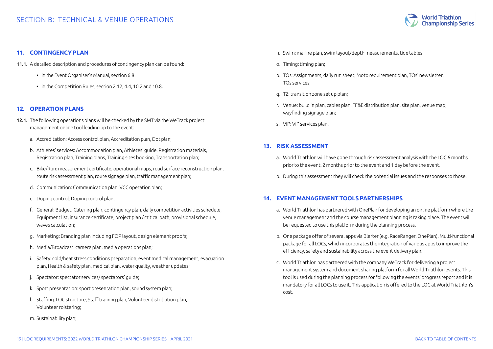

#### <span id="page-18-0"></span>**11. CONTINGENCY PLAN**

- 11.1. A detailed description and procedures of contingency plan can be found:
	- in the Event Organiser's Manual, section 6.8.
	- in the Competition Rules, section 2.12, 4.4, 10.2 and 10.8.

#### **12. OPERATION PLANS**

- 12.1. The following operations plans will be checked by the SMT via the WeTrack project management online tool leading up to the event:
	- a. Accreditation: Access control plan, Accreditation plan, Dot plan;
	- b. Athletes' services: Accommodation plan, Athletes' guide, Registration materials, Registration plan, Training plans, Training sites booking, Transportation plan;
	- c. Bike/Run: measurement certificate, operational maps, road surface reconstruction plan, route risk assessment plan, route signage plan, traffic management plan;
	- d. Communication: Communication plan, VCC operation plan;
	- e. Doping control: Doping control plan;
	- f. General: Budget, Catering plan, contingency plan, daily competition activities schedule, Equipment list, insurance certificate, project plan / critical path, provisional schedule, waves calculation;
	- g. Marketing: Branding plan including FOP layout, design element proofs;
	- h. Media/Broadcast: camera plan, media operations plan;
	- i. Safety: cold/heat stress conditions preparation, event medical management, evacuation plan, Health & safety plan, medical plan, water quality, weather updates;
	- j. Spectator: spectator services/ spectators' guide;
	- k. Sport presentation: sport presentation plan, sound system plan;
	- l. Staffing: LOC structure, Staff training plan, Volunteer distribution plan, Volunteer roistering;
	- m. Sustainability plan;
- n. Swim: marine plan, swim layout/depth measurements, tide tables;
- o. Timing: timing plan;
- p. TOs: Assignments, daily run sheet, Moto requirement plan, TOs' newsletter, TOs services;
- q. TZ: transition zone set up plan;
- r. Venue: build in plan, cables plan, FF&E distribution plan, site plan, venue map, wayfinding signage plan;
- s. VIP: VIP services plan.

## **13. RISK ASSESSMENT**

- a. World Triathlon will have gone through risk assessment analysis with the LOC 6 months prior to the event, 2 months prior to the event and 1 day before the event.
- b. During this assessment they will check the potential issues and the responses to those.

#### **14. EVENT MANAGEMENT TOOLS PARTNERSHIPS**

- a. World Triathlon has partnered with OnePlan for developing an online platform where the venue management and the course management planning is taking place. The event will be requested to use this platform during the planning process.
- b. One package offer of several apps via Blerter (e.g. RaceRanger, OnePlan). Multi-functional package for all LOCs, which incorporates the integration of various apps to improve the efficiency, safety and sustainability across the event delivery plan.
- c. World Triathlon has partnered with the company WeTrack for delivering a project management system and document sharing platform for all World Triathlon events. This tool is used during the planning process for following the events' progress report and it is mandatory for all LOCs to use it. This application is offered to the LOC at World Triathlon's cost.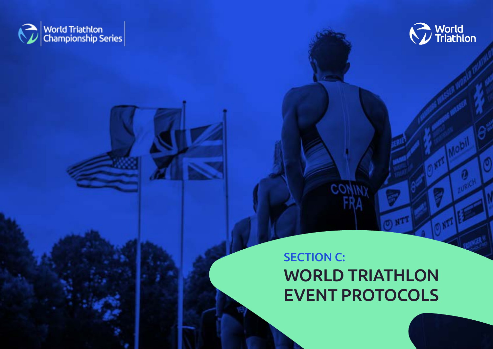<span id="page-19-0"></span>



# SECTION C: WORLD TRIATHLON EVENT PROTOCOLS

 $CO$ 

20 | LOC REQUIREMENTS: 2022 WORLD TRIATHLON CHAMPIONSHIP SERIES – APRIL 2021 [BACK TO TABLE OF CONTENTS](#page-1-0)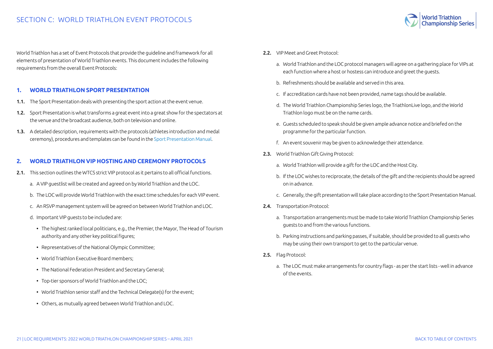

<span id="page-20-0"></span>World Triathlon has a set of Event Protocols that provide the guideline and framework for all elements of presentation of World Triathlon events. This document includes the following requirements from the overall Event Protocols:

### **1. WORLD TRIATHLON SPORT PRESENTATION**

- 1.1. The Sport Presentation deals with presenting the sport action at the event venue.
- 1.2. Sport Presentation is what transforms a great event into a great show for the spectators at the venue and the broadcast audience, both on television and online.
- 1.3. A detailed description, requirements with the protocols (athletes introduction and medal ceremony), procedures and templates can be found in the [Sport Presentation Manual](https://triathlon.org/about/downloads/category/event_organisers_manual).

#### **2. WORLD TRIATHLON VIP HOSTING AND CEREMONY PROTOCOLS**

- 2.1. This section outlines the WTCS strict VIP protocol as it pertains to all official functions.
	- a. A VIP guestlist will be created and agreed on by World Triathlon and the LOC.
	- b. The LOC will provide World Triathlon with the exact time schedules for each VIP event.
	- c. An RSVP management system will be agreed on between World Triathlon and LOC.
	- d. Important VIP guests to be included are:
		- The highest ranked local politicians, e.g., the Premier, the Mayor, The Head of Tourism authority and any other key political figures;
		- Representatives of the National Olympic Committee;
		- World Triathlon Executive Board members;
		- The National Federation President and Secretary General;
		- Top-tier sponsors of World Triathlon and the LOC;
		- World Triathlon senior staff and the Technical Delegate(s) for the event;
		- Others, as mutually agreed between World Triathlon and LOC.
- 2.2. VIP Meet and Greet Protocol:
	- a. World Triathlon and the LOC protocol managers will agree on a gathering place for VIPs at each function where a host or hostess can introduce and greet the guests.
	- b. Refreshments should be available and served in this area.
	- c. If accreditation cards have not been provided, name tags should be available.
	- d. The World Triathlon Championship Series logo, the TriathlonLive logo, and the World Triathlon logo must be on the name cards.
	- e. Guests scheduled to speak should be given ample advance notice and briefed on the programme for the particular function.
	- f. An event souvenir may be given to acknowledge their attendance.
- 2.3. World Triathlon Gift Giving Protocol:
	- a. World Triathlon will provide a gift for the LOC and the Host City.
	- b. If the LOC wishes to reciprocate, the details of the gift and the recipients should be agreed on in advance.
	- c. Generally, the gift presentation will take place according to the Sport Presentation Manual.
- 2.4. Transportation Protocol:
	- a. Transportation arrangements must be made to take World Triathlon Championship Series guests to and from the various functions.
	- b. Parking instructions and parking passes, if suitable, should be provided to all guests who may be using their own transport to get to the particular venue.
- 2.5. Flag Protocol:
	- a. The LOC must make arrangements for country flags as per the start lists well in advance of the events.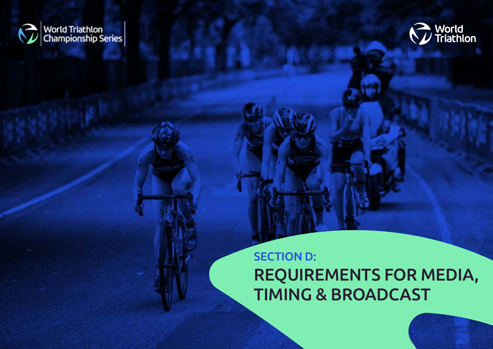<span id="page-21-0"></span>



# SECTION D: REQUIREMENTS FOR MEDIA, TIMING & BROADCAST

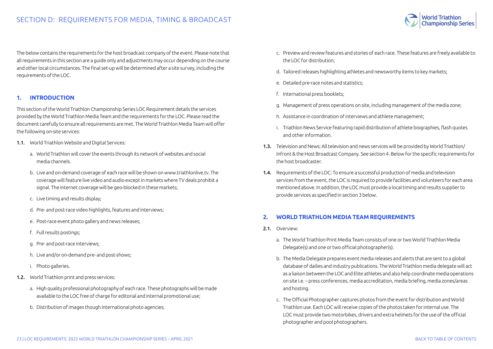

<span id="page-22-0"></span>The below contains the requirements for the host broadcast company of the event. Please note that all requirements in this section are a guide only and adjustments may occur depending on the course and other local circumstances. The final set-up will be determined after a site survey, including the requirements of the LOC.

#### **1. INTRODUCTION**

This section of the World Triathlon Championship Series LOC Requirement details the services provided by the World Triathlon Media Team and the requirements for the LOC. Please read the document carefully to ensure all requirements are met. The World Triathlon Media Team will offer the following on-site services:

- 1.1. World Triathlon Website and Digital Services:
	- a. World Triathlon will cover the events through its network of websites and social media channels.
	- b. Live and on-demand coverage of each race will be shown on www.triathlonlive.tv. The coverage will feature live video and audio except in markets where TV deals prohibit a signal. The internet coverage will be geo-blocked in these markets;
	- c. Live timing and results display;
	- d. Pre- and post-race video highlights, features and interviews;
	- e. Post-race event photo gallery and news releases;
	- f. Full results postings;
	- g. Pre- and post-race interviews;
	- h. Live and/or on-demand pre- and post-shows;
	- i. Photo galleries.
- 1.2. World Triathlon print and press services:
	- a. High quality professional photography of each race. These photographs will be made available to the LOC free of charge for editorial and internal promotional use;
	- b. Distribution of images though international photo agencies;
- c. Preview and review features and stories of each race. These features are freely available to the LOC for distribution;
- d. Tailored releases highlighting athletes and newsworthy items to key markets;
- e. Detailed pre-race notes and statistics;
- f. International press booklets;
- g. Management of press operations on site, including management of the media zone;
- h. Assistance in coordination of interviews and athlete management;
- i. Triathlon News Service featuring rapid distribution of athlete biographies, flash quotes and other information.
- 1.3. Television and News: All television and news services will be provided by World Triathlon/ Infront & the Host Broadcast Company. See section 4. Below for the specific requirements for the host broadcaster.
- 1.4. Requirements of the LOC: To ensure a successful production of media and television services from the event, the LOC is required to provide facilities and volunteers for each area mentioned above. In addition, the LOC must provide a local timing and results supplier to provide services as specified in section 3 below.

## **2. WORLD TRIATHLON MEDIA TEAM REQUIREMENTS**

- 2.1. Overview:
	- a. The World Triathlon Print Media Team consists of one or two World Triathlon Media Delegate(s) and one or two official photographer(s).
	- b. The Media Delegate prepares event media releases and alerts that are sent to a global database of dailies and industry publications. The World Triathlon media delegate will act as a liaison between the LOC and Elite athletes and also help coordinate media operations on site i.e. – press conferences, media accreditation, media briefing, media zones/areas and hosting.
	- c. The Official Photographer captures photos from the event for distribution and World Triathlon use. Each LOC will receive copies of the photos taken for internal use. The LOC must provide two motorbikes, drivers and extra helmets for the use of the official photographer and pool photographers.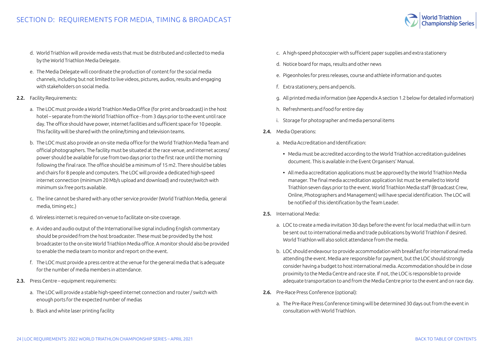

- d. World Triathlon will provide media vests that must be distributed and collected to media by the World Triathlon Media Delegate.
- e. The Media Delegate will coordinate the production of content for the social media channels, including but not limited to live videos, pictures, audios, results and engaging with stakeholders on social media.
- 2.2. Facility Requirements:
	- a. The LOC must provide a World Triathlon Media Office (for print and broadcast) in the host hotel – separate from the World Triathlon office - from 3 days prior to the event until race day. The office should have power, internet facilities and sufficient space for 10 people. This facility will be shared with the online/timing and television teams.
	- b. The LOC must also provide an on-site media office for the World Triathlon Media Team and official photographers. The facility must be situated at the race venue, and internet access/ power should be available for use from two days prior to the first race until the morning following the final race. The office should be a minimum of 15 m2. There should be tables and chairs for 8 people and computers. The LOC will provide a dedicated high-speed internet connection (minimum 20 Mb/s upload and download) and router/switch with minimum six free ports available.
	- c. The line cannot be shared with any other service provider (World Triathlon Media, general media, timing etc.)
	- d. Wireless internet is required on-venue to facilitate on-site coverage.
	- e. A video and audio output of the International live signal including English commentary should be provided from the host broadcaster. These must be provided by the host broadcaster to the on-site World Triathlon Media office. A monitor should also be provided to enable the media team to monitor and report on the event.
	- f. The LOC must provide a press centre at the venue for the general media that is adequate for the number of media members in attendance.
- 2.3. Press Centre equipment requirements:
	- a. The LOC will provide a stable high-speed internet connection and router / switch with enough ports for the expected number of medias
	- b. Black and white laser printing facility
- c. A high-speed photocopier with sufficient paper supplies and extra stationery
- d. Notice board for maps, results and other news
- e. Pigeonholes for press releases, course and athlete information and quotes
- f. Extra stationery, pens and pencils.
- g. All printed media information (see Appendix A section 1.2 below for detailed information)
- h. Refreshments and food for entire day
- i. Storage for photographer and media personal items
- 2.4. Media Operations:
	- a. Media Accreditation and Identification:
		- Media must be accredited according to the World Triathlon accreditation guidelines document. This is available in the Event Organisers' Manual.
		- All media accreditation applications must be approved by the World Triathlon Media manager. The final media accreditation application list must be emailed to World Triathlon seven days prior to the event. World Triathlon Media staff (Broadcast Crew, Online, Photographers and Management) will have special identification. The LOC will be notified of this identification by the Team Leader.
- 2.5. International Media:
	- a. LOC to create a media invitation 30 days before the event for local media that will in turn be sent out to international media and trade publications by World Triathlon if desired. World Triathlon will also solicit attendance from the media.
	- b. LOC should endeavour to provide accommodation with breakfast for international media attending the event. Media are responsible for payment, but the LOC should strongly consider having a budget to host international media. Accommodation should be in close proximity to the Media Centre and race site. If not, the LOC is responsible to provide adequate transportation to and from the Media Centre prior to the event and on race day.
- 2.6. Pre-Race Press Conference (optional):
	- a. The Pre-Race Press Conference timing will be determined 30 days out from the event in consultation with World Triathlon.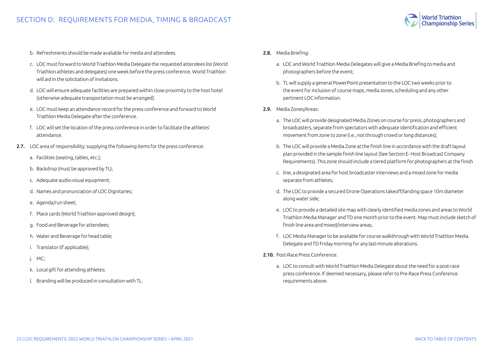

- b. Refreshments should be made available for media and attendees.
- c. LOC must forward to World Triathlon Media Delegate the requested attendees list (World Triathlon athletes and delegates) one week before the press conference. World Triathlon will aid in the solicitation of invitations.
- d. LOC will ensure adequate facilities are prepared within close proximity to the host hotel (otherwise adequate transportation must be arranged).
- e. LOC must keep an attendance record for the press conference and forward to World Triathlon Media Delegate after the conference.
- f. LOC will set the location of the press conference in order to facilitate the athletes' attendance.
- 2.7. LOC area of responsibility: supplying the following items for the press conference:
	- a. Facilities (seating, tables, etc.);
	- b. Backdrop (must be approved by TL);
	- c. Adequate audio-visual equipment;
	- d. Names and pronunciation of LOC Dignitaries;
	- e. Agenda/run sheet;
	- f. Place cards (World Triathlon approved design);
	- g. Food and Beverage for attendees;
	- h. Water and Beverage for head table;
	- i. Translator (if applicable);
	- j. MC;
	- k. Local gift for attending athletes;
	- l. Branding will be produced in consultation with TL.
- 2.8. Media Briefing:
	- a. LOC and World Triathlon Media Delegates will give a Media Briefing to media and photographers before the event;
	- b. TL will supply a general PowerPoint presentation to the LOC two weeks prior to the event for inclusion of course maps, media zones, scheduling and any other pertinent LOC information.
- 2.9. Media Zones/Areas:
	- a. The LOC will provide designated Media Zones on course for press, photographers and broadcasters, separate from spectators with adequate identification and efficient movement from zone to zone (i.e., not through crowd or long distances);
	- b. The LOC will provide a Media Zone at the finish line in accordance with the draft layout plan provided in the sample finish line layout (See Section E- Host Broadcast Company Requirements). This zone should include a tiered platform for photographers at the finish
	- c. line, a designated area for host broadcaster interviews and a mixed zone for media separate from athletes;
	- d. The LOC to provide a secured Drone Operations takeoff/landing space 10m diameter along water side;
	- e. LOC to provide a detailed site map with clearly identified media zones and areas to World Triathlon Media Manager and TD one month prior to the event. Map must include sketch of finish line area and mixed/interview areas;
	- f. LOC Media Manager to be available for course walkthrough with World Triathlon Media Delegate and TD Friday morning for any last-minute alterations.
- 2.10. Post-Race Press Conference:
	- a. LOC to consult with World Triathlon Media Delegate about the need for a post-race press conference. If deemed necessary, please refer to Pre-Race Press Conference requirements above.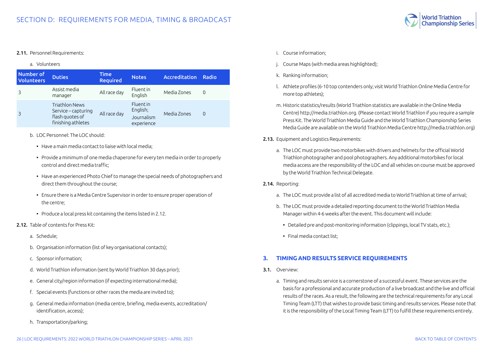

#### <span id="page-25-0"></span>2.11. Personnel Requirements:

#### a. Volunteers

| Number of<br><b>Volunteers</b> | <b>Duties</b>                                                                         | <b>Time</b><br><b>Required</b> | <b>Notes</b>                                             | Accreditation | Radio    |
|--------------------------------|---------------------------------------------------------------------------------------|--------------------------------|----------------------------------------------------------|---------------|----------|
|                                | Assist media<br>manager                                                               | All race day                   | <b>Fluentin</b><br>English                               | Media Zones   | $\Omega$ |
|                                | <b>Triathlon News</b><br>Service – capturing<br>flash quotes of<br>finishing athletes | All race day                   | <b>Fluent</b> in<br>English;<br>Journalism<br>experience | Media Zones   | $\Omega$ |

- b. LOC Personnel: The LOC should:
	- Have a main media contact to liaise with local media;
	- Provide a minimum of one media chaperone for every ten media in order to properly control and direct media traffic;
	- Have an experienced Photo Chief to manage the special needs of photographers and direct them throughout the course;
	- Ensure there is a Media Centre Supervisor in order to ensure proper operation of the centre;
	- Produce a local press kit containing the items listed in 2.12.
- 2.12. Table of contents for Press Kit:
	- a. Schedule;
	- b. Organisation information (list of key organisational contacts);
	- c. Sponsor information;
	- d. World Triathlon information (sent by World Triathlon 30 days prior);
	- e. General city/region information (if expecting international media);
	- f. Special events (functions or other races the media are invited to);
	- g. General media information (media centre, briefing, media events, accreditation/ identification, access);
	- h. Transportation/parking;
- i. Course information;
- j. Course Maps (with media areas highlighted);
- k. Ranking information;
- l. Athlete profiles (6-10 top contenders only; visit World Triathlon Online Media Centre for more top athletes);
- m. Historic statistics/results (World Triathlon statistics are available in the Online Media Centre) http://media.triathlon.org. (Please contact World Triathlon if you require a sample Press Kit. The World Triathlon Media Guide and the World Triathlon Championship Series Media Guide are available on the World Triathlon Media Centre http://media.triathlon.org)
- 2.13. Equipment and Logistics Requirements:
	- a. The LOC must provide two motorbikes with drivers and helmets for the official World Triathlon photographer and pool photographers. Any additional motorbikes for local media access are the responsibility of the LOC and all vehicles on course must be approved by the World Triathlon Technical Delegate.

#### 2.14. Reporting:

- a. The LOC must provide a list of all accredited media to World Triathlon at time of arrival;
- b. The LOC must provide a detailed reporting document to the World Triathlon Media Manager within 4-6 weeks after the event. This document will include:
	- Detailed pre and post-monitoring information (clippings, local TV stats, etc.);
	- Final media contact list;

#### **3. TIMING AND RESULTS SERVICE REQUIREMENTS**

- 3.1. Overview:
	- a. Timing and results service is a cornerstone of a successful event. These services are the basis for a professional and accurate production of a live broadcast and the live and official results of the races. As a result, the following are the technical requirements for any Local Timing Team (LTT) that wishes to provide basic timing and results services. Please note that it is the responsibility of the Local Timing Team (LTT) to fulfill these requirements entirely.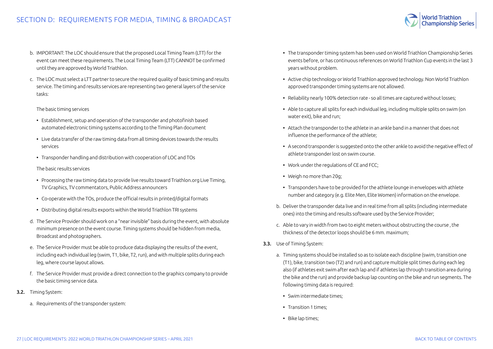- b. IMPORTANT: The LOC should ensure that the proposed Local Timing Team (LTT) for the event can meet these requirements. The Local Timing Team (LTT) CANNOT be confirmed until they are approved by World Triathlon.
- c. The LOC must select a LTT partner to secure the required quality of basic timing and results service. The timing and results services are representing two general layers of the service tasks:

#### The basic timing services

- Establishment, setup and operation of the transponder and photofinish based automated electronic timing systems according to the Timing Plan document
- Live data transfer of the raw timing data from all timing devices towards the results services
- Transponder handling and distribution with cooperation of LOC and TOs

#### The basic results services

- Processing the raw timing data to provide live results toward Triathlon.org Live Timing, TV Graphics, TV commentators, Public Address announcers
- Co-operate with the TOs, produce the official results in printed/digital formats
- Distributing digital results exports within the World Triathlon TRI systems
- d. The Service Provider should work on a "near invisible" basis during the event, with absolute minimum presence on the event course. Timing systems should be hidden from media, Broadcast and photographers.
- e. The Service Provider must be able to produce data displaying the results of the event, including each individual leg (swim, T1, bike, T2, run), and with multiple splits during each leg, where course layout allows.
- f. The Service Provider must provide a direct connection to the graphics company to provide the basic timing service data.
- 3.2. Timing System:
	- a. Requirements of the transponder system:
- The transponder timing system has been used on World Triathlon Championship Series events before, or has continuous references on World Triathlon Cup events in the last 3 years without problem.
- Active chip technology or World Triathlon approved technology. Non World Triathlon approved transponder timing systems are not allowed.
- Reliability nearly 100% detection rate so all times are captured without losses;
- Able to capture all splits for each individual leg, including multiple splits on swim (on water exit), bike and run;
- Attach the transponder to the athlete in an ankle band in a manner that does not influence the performance of the athlete;
- A second transponder is suggested onto the other ankle to avoid the negative effect of athlete transponder lost on swim course.
- Work under the regulations of CE and FCC;
- Weigh no more than 20g;
- Transponders have to be provided for the athlete lounge in envelopes with athlete number and category (e.g. Elite Men, Elite Women) information on the envelope.
- b. Deliver the transponder data live and in real time from all splits (including intermediate ones) into the timing and results software used by the Service Provider;
- c. Able to vary in width from two to eight meters without obstructing the course , the thickness of the detector loops should be 6 mm. maximum;
- 3.3. Use of Timing System:
	- a. Timing systems should be installed so as to isolate each discipline (swim, transition one (T1), bike, transition two (T2) and run) and capture multiple split times during each leg also (if athletes exit swim after each lap and if athletes lap through transition area during the bike and the run) and provide backup lap counting on the bike and run segments. The following timing data is required:
		- Swim intermediate times;
		- Transition 1 times;
		- Bike lap times;

**Championship Series**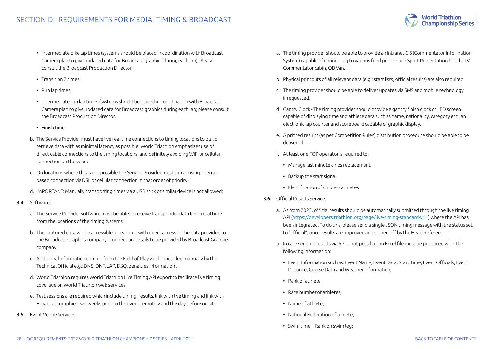- Intermediate bike lap times (systems should be placed in coordination with Broadcast Camera plan to give updated data for Broadcast graphics during each lap); Please consult the Broadcast Production Director.
- Transition 2 times;
- Run lap times;
- Intermediate run lap times (systems should be placed in coordination with Broadcast Camera plan to give updated data for Broadcast graphics during each lap; please consult the Broadcast Production Director.
- Finish time.
- b. The Service Provider must have live real time connections to timing locations to pull or retrieve data with as minimal latency as possible. World Triathlon emphasizes use of direct cable connections to the timing locations, and definitely avoiding WiFi or cellular connection on the venue.
- c. On locations where this is not possible the Service Provider must aim at using internetbased connection via DSL or cellular connection in that order of priority.
- d. IMPORTANT: Manually transporting times via a USB stick or similar device is not allowed;
- 3.4. Software:
	- a. The Service Provider software must be able to receive transponder data live in real time from the locations of the timing systems.
	- b. The captured data will be accessible in real time with direct access to the data provided to the Broadcast Graphics company,; connection details to be provided by Broadcast Graphics company;
	- c. Additional information coming from the Field of Play will be included manually by the Technical Official e.g.: DNS, DNF, LAP, DSQ, penalties information .
	- d. World Triathlon requires World Triathlon Live Timing API export to facilitate live timing coverage on World Triathlon web services.
	- e. Test sessions are required which include timing, results, link with live timing and link with Broadcast graphics two weeks prior to the event remotely and the day before on site.
- 3.5. Event Venue Services:
- a. The timing provider should be able to provide an Intranet CIS (Commentator Information System) capable of connecting to various feed points such Sport Presentation booth, TV Commentator cabin, OB Van.
- b. Physical printouts of all relevant data (e.g.: start lists, official results) are also required.
- c. The timing provider should be able to deliver updates via SMS and mobile technology if requested.
- d. Gantry Clock The timing provider should provide a gantry finish clock or LED screen capable of displaying time and athlete data such as name, nationality, category etc., an electronic lap counter and scoreboard capable of graphic display.
- e. A printed results (as per Competition Rules) distribution procedure should be able to be delivered.
- f. At least one FOP operator is required to:
	- Manage last minute chips replacement
	- Backup the start signal
	- Identification of chipless athletes
- 3.6. Official Results Service:
	- a. As from 2023, official results should be automatically submitted through the live timing API (<https://developers.triathlon.org/page/live-timing-standard-v11>) where the API has been integrated. To do this, please send a single JSON timing message with the status set to "official", once results are approved and signed off by the Head Referee.
	- b. In case sending results via API is not possible, an Excel file must be produced with the following information:
		- Event Information such as: Event Name, Event Data, Start Time, Event Officials, Event Distance, Course Data and Weather Information;
		- Rank of athlete;
		- Race number of athletes;
		- Name of athlete;
		- National Federation of athlete;
		- Swim time + Rank on swim leg;

**Championship Series**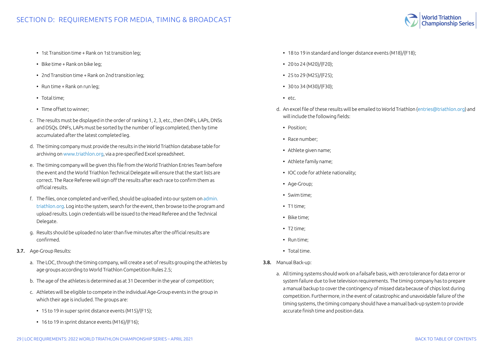

- 1st Transition time + Rank on 1st transition leg;
- Bike time + Rank on bike leg;
- 2nd Transition time + Rank on 2nd transition leg;
- Run time + Rank on run leg;
- Total time;
- Time offset to winner;
- c. The results must be displayed in the order of ranking 1, 2, 3, etc., then DNFs, LAPs, DNSs and DSQs. DNFs, LAPs must be sorted by the number of legs completed, then by time accumulated after the latest completed leg.
- d. The timing company must provide the results in the World Triathlon database table for archiving on [www.triathlon.org](http://www.triathlon.org), via a pre-specified Excel spreadsheet.
- e. The timing company will be given this file from the World Triathlon Entries Team before the event and the World Triathlon Technical Delegate will ensure that the start lists are correct. The Race Referee will sign off the results after each race to confirm them as official results.
- f. The files, once completed and verified, should be uploaded into our system on [admin.](http://admin.triathlon.org) [triathlon.org](http://admin.triathlon.org). Log into the system, search for the event, then browse to the program and upload results. Login credentials will be issued to the Head Referee and the Technical Delegate.
- g. Results should be uploaded no later than five minutes after the official results are confirmed.
- 3.7. Age-Group Results:
	- a. The LOC, through the timing company, will create a set of results grouping the athletes by age groups according to World Triathlon Competition Rules 2.5;
	- b. The age of the athletes is determined as at 31 December in the year of competition;
	- c. Athletes will be eligible to compete in the individual Age-Group events in the group in which their age is included. The groups are:
		- 15 to 19 in super sprint distance events (M15)/(F15);
		- 16 to 19 in sprint distance events (M16)/(F16);
- 18 to 19 in standard and longer distance events (M18)/(F18);
- $\cdot$  20 to 24 (M20)/(F20);
- 25 to 29 (M25)/(F25);
- 30 to 34 (M30)/(F30);
- etc.
- d. An excel file of these results will be emailed to World Triathlon ([entries@triathlon.org\)](mailto:entries%40triathlon.org?subject=) and will include the following fields:
	- Position:
	- Race number;
	- Athlete given name;
	- Athlete family name;
	- IOC code for athlete nationality;
	- Age-Group;
	- Swim time;
	- T1 time;
	- Bike time;
	- T2 time;
	- Run time;
	- Total time.
- 3.8. Manual Back-up:
	- a. All timing systems should work on a failsafe basis, with zero tolerance for data error or system failure due to live television requirements. The timing company has to prepare a manual backup to cover the contingency of missed data because of chips lost during competition. Furthermore, in the event of catastrophic and unavoidable failure of the timing systems, the timing company should have a manual back-up system to provide accurate finish time and position data.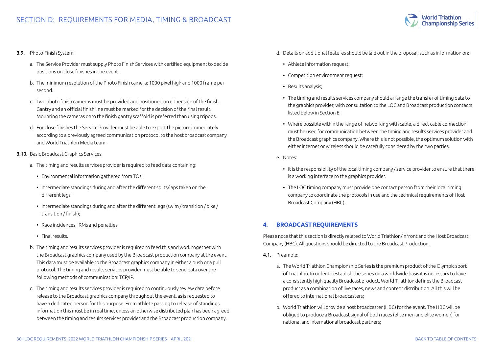

#### <span id="page-29-0"></span>3.9. Photo-Finish System:

- a. The Service Provider must supply Photo Finish Services with certified equipment to decide positions on close finishes in the event.
- b. The minimum resolution of the Photo Finish camera: 1000 pixel high and 1000 frame per second.
- c. Two photo finish cameras must be provided and positioned on either side of the finish Gantry and an official finish line must be marked for the decision of the final result. Mounting the cameras onto the finish gantry scaffold is preferred than using tripods.
- d. For close finishes the Service Provider must be able to export the picture immediately according to a previously agreed communication protocol to the host broadcast company and World Triathlon Media team.

#### 3.10. Basic Broadcast Graphics Services:

- a. The timing and results services provider is required to feed data containing:
	- Environmental information gathered from TOs;
	- Intermediate standings during and after the different splits/laps taken on the different legs'
	- Intermediate standings during and after the different legs (swim / transition / bike / transition / finish);
	- Race incidences, IRMs and penalties;
	- Final results.
- b. The timing and results services provider is required to feed this and work together with the Broadcast graphics company used by the Broadcast production company at the event. This data must be available to the Broadcast graphics company in either a push or a pull protocol. The timing and results services provider must be able to send data over the following methods of communication: TCP/IP.
- c. The timing and results services provider is required to continuously review data before release to the Broadcast graphics company throughout the event, as is requested to have a dedicated person for this purpose. From athlete passing to release of standings information this must be in real time, unless an otherwise distributed plan has been agreed between the timing and results services provider and the Broadcast production company.
- d. Details on additional features should be laid out in the proposal, such as information on:
	- Athlete information request:
	- Competition environment request;
	- Results analysis;
	- The timing and results services company should arrange the transfer of timing data to the graphics provider, with consultation to the LOC and Broadcast production contacts listed below in Section E;
	- Where possible within the range of networking with cable, a direct cable connection must be used for communication between the timing and results services provider and the Broadcast graphics company. Where this is not possible, the optimum solution with either internet or wireless should be carefully considered by the two parties.
- e. Notes:
	- It is the responsibility of the local timing company / service provider to ensure that there is a working interface to the graphics provider.
	- The LOC timing company must provide one contact person from their local timing company to coordinate the protocols in use and the technical requirements of Host Broadcast Company (HBC).

#### **4. BROADCAST REQUIREMENTS**

Please note that this section is directly related to World Triathlon/Infront and the Host Broadcast Company (HBC). All questions should be directed to the Broadcast Production.

- 4.1. Preamble:
	- a. The World Triathlon Championship Series is the premium product of the Olympic sport of Triathlon. In order to establish the series on a worldwide basis it is necessary to have a consistently high quality Broadcast product. World Triathlon defines the Broadcast product as a combination of live races, news and content distribution. All this will be offered to international broadcasters;
	- b. World Triathlon will provide a host broadcaster (HBC) for the event. The HBC will be obliged to produce a Broadcast signal of both races (elite men and elite women) for national and international broadcast partners;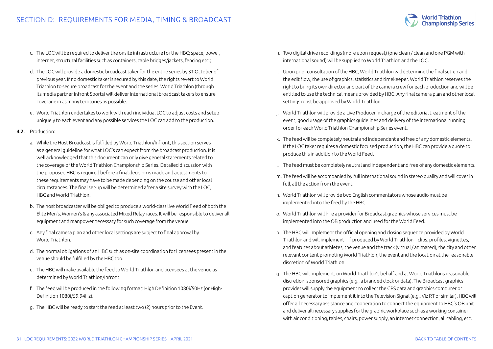- c. The LOC will be required to deliver the onsite infrastructure for the HBC; space, power, internet, structural facilities such as containers, cable bridges/jackets, fencing etc.;
- d. The LOC will provide a domestic broadcast taker for the entire series by 31 October of previous year. If no domestic taker is secured by this date, the rights revert to World Triathlon to secure broadcast for the event and the series. World Triathlon (through its media partner Infront Sports) will deliver International broadcast takers to ensure coverage in as many territories as possible.
- e. World Triathlon undertakes to work with each individual LOC to adjust costs and setup uniquely to each event and any possible services the LOC can add to the production.
- 4.2. Production:
	- a. While the Host Broadcast is fulfilled by World Triathlon/Infront, this section serves as a general guideline for what LOC's can expect from the broadcast production. It is well acknowledged that this document can only give general statements related to the coverage of the World Triathlon Championship Series. Detailed discussion with the proposed HBC is required before a final decision is made and adjustments to these requirements may have to be made depending on the course and other local circumstances. The final set-up will be determined after a site survey with the LOC, HBC and World Triathlon.
	- b. The host broadcaster will be obliged to produce a world-class live World F eed of both the Elite Men's, Women's & any associated Mixed Relay races. It will be responsible to deliver all equipment and manpower necessary for such coverage from the venue.
	- c. Any final camera plan and other local settings are subject to final approval by World Triathlon.
	- d. The normal obligations of an HBC such as on-site coordination for licensees present in the venue should be fulfilled by the HBC too.
	- e. The HBC will make available the feed to World Triathlon and licensees at the venue as determined by World Triathlon/Infront.
	- f. The feed will be produced in the following format: High Definition 1080i/50Hz (or High-Definition 1080i/59.94Hz).
	- g. The HBC will be ready to start the feed at least two (2) hours prior to the Event.
- h. Two digital drive recordings (more upon request) (one clean / clean and one PGM with international sound) will be supplied to World Triathlon and the LOC.
- i. Upon prior consultation of the HBC, World Triathlon will determine the final set-up and the edit flow, the use of graphics, statistics and timekeeper. World Triathlon reserves the right to bring its own director and part of the camera crew for each production and will be entitled to use the technical means provided by HBC. Any final camera plan and other local settings must be approved by World Triathlon.
- j. World Triathlon will provide a Live Producer in charge of the editorial treatment of the event, good usage of the graphics guidelines and delivery of the international running order for each World Triathlon Championship Series event.
- k. The feed will be completely neutral and independent and free of any domestic elements. If the LOC taker requires a domestic focused production, the HBC can provide a quote to produce this in addition to the World Feed.
- l. The feed must be completely neutral and independent and free of any domestic elements.
- m. The feed will be accompanied by full international sound in stereo quality and will cover in full, all the action from the event.
- n. World Triathlon will provide two English commentators whose audio must be implemented into the feed by the HBC.
- o. World Triathlon will hire a provider for Broadcast graphics whose services must be implemented into the OB production and used for the World Feed.
- p. The HBC will implement the official opening and closing sequence provided by World Triathlon and will implement – if produced by World Triathlon – clips, profiles, vignettes, and features about athletes, the venue and the track (virtual / animated), the city and other relevant content promoting World Triathlon, the event and the location at the reasonable discretion of World Triathlon.
- q. The HBC will implement, on World Triathlon's behalf and at World Triathlons reasonable discretion, sponsored graphics (e.g., a branded clock or data). The Broadcast graphics provider will supply the equipment to collect the GPS data and graphics computer or caption generator to implement it into the Television Signal (e.g., Viz RT or similar). HBC will offer all necessary assistance and cooperation to connect the equipment to HBC's OB unit and deliver all necessary supplies for the graphic workplace such as a working container with air conditioning, tables, chairs, power supply, an Internet connection, all cabling, etc.

**World Triathlon Championship Series**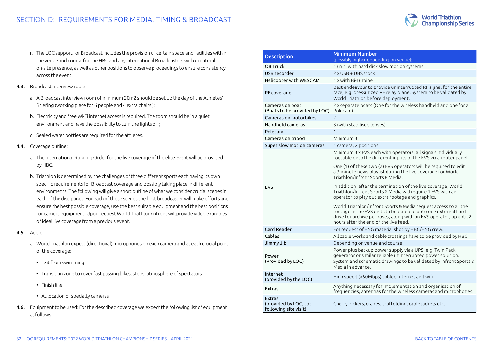

- r. The LOC support for Broadcast includes the provision of certain space and facilities within the venue and course for the HBC and any International Broadcasters with unilateral on-site presence, as well as other positions to observe proceedings to ensure consistency across the event.
- 4.3. Broadcast Interview room:
	- a. A Broadcast interview room of minimum 20m2 should be set up the day of the Athletes' Briefing (working place for 6 people and 4 extra chairs.);
	- b. Electricity and free Wi-Fi internet access is required. The room should be in a quiet environment and have the possibility to turn the lights off;
	- c. Sealed water bottles are required for the athletes.
- 4.4. Coverage outline:
	- a. The International Running Order for the live coverage of the elite event will be provided by HBC.
	- b. Triathlon is determined by the challenges of three different sports each having its own specific requirements for Broadcast coverage and possibly taking place in different environments. The following will give a short outline of what we consider crucial scenes in each of the disciplines. For each of these scenes the host broadcaster will make efforts and ensure the best possible coverage, use the best suitable equipment and the best positions for camera equipment. Upon request World Triathlon/Infront will provide video examples of ideal live coverage from a previous event.
- 4.5. Audio:
	- a. World Triathlon expect (directional) microphones on each camera and at each crucial point of the coverage:
		- Exit from swimming
		- Transition zone to cover fast passing bikes, steps, atmosphere of spectators
		- Finish line
		- At location of specialty cameras
- 4.6. Equipment to be used: For the described coverage we expect the following list of equipment as follows:

| <b>Description</b>                                       | <b>Minimum Number</b><br>(possibly higher depending on venue):                                                                                                                                                                                   |  |  |  |
|----------------------------------------------------------|--------------------------------------------------------------------------------------------------------------------------------------------------------------------------------------------------------------------------------------------------|--|--|--|
| <b>OB Truck</b>                                          | 1 unit, with hard disk slow motion systems                                                                                                                                                                                                       |  |  |  |
| USB recorder                                             | 2 x USB + UBS stock                                                                                                                                                                                                                              |  |  |  |
| Helicopter with WESCAM                                   | 1 x with Bi-Turbine                                                                                                                                                                                                                              |  |  |  |
| RF coverage                                              | Best endeavour to provide uninterrupted RF signal for the entire<br>race, e.g. pressurized RF relay plane. System to be validated by<br>World Triathlon before deployment.                                                                       |  |  |  |
| Cameras on boat<br>(Boats to be provided by LOC)         | 2 x separate boats (One for the wireless handheld and one for a<br>Polecam)                                                                                                                                                                      |  |  |  |
| Cameras on motorbikes:                                   | $\mathcal{P}$                                                                                                                                                                                                                                    |  |  |  |
| Handheld cameras                                         | 3 (with stabilised lenses)                                                                                                                                                                                                                       |  |  |  |
| Polecam                                                  | $\mathbf{1}$                                                                                                                                                                                                                                     |  |  |  |
| Cameras on tripod                                        | Minimum 3                                                                                                                                                                                                                                        |  |  |  |
| Super slow motion cameras                                | 1 camera, 2 positions                                                                                                                                                                                                                            |  |  |  |
|                                                          | Minimum 3 x EVS each with operators, all signals individually<br>routable onto the different inputs of the EVS via a router panel.                                                                                                               |  |  |  |
|                                                          | One (1) of these two (2) EVS operators will be required to edit<br>a 3-minute news playlist during the live coverage for World<br>Triathlon/Infront Sports & Media.                                                                              |  |  |  |
| <b>EVS</b>                                               | In addition, after the termination of the live coverage, World<br>Triathlon/Infront Sports & Media will require 1 EVS with an<br>operator to play out extra footage and graphics.                                                                |  |  |  |
|                                                          | World Triathlon/Infront Sports & Media request access to all the<br>footage in the EVS units to be dumped onto one external hard-<br>drive for archive purposes, along with an EVS operator, up until 2<br>hours after the end of the live feed. |  |  |  |
| Card Reader                                              | For request of ENG material shot by HBC/ENG crew.                                                                                                                                                                                                |  |  |  |
| Cables                                                   | All cable works and cable crossings have to be provided by HBC                                                                                                                                                                                   |  |  |  |
| Jimmy Jib                                                | Depending on venue and course                                                                                                                                                                                                                    |  |  |  |
| Power<br>(Provided by LOC)                               | Power plus backup power supply via a UPS, e.g. Twin Pack<br>generator or similar reliable uninterrupted power solution.<br>System and schematic drawings to be validated by Infront Sports &<br>Media in advance.                                |  |  |  |
| Internet<br>(provided by the LOC)                        | High speed (>50Mbps) cabled internet and wifi.                                                                                                                                                                                                   |  |  |  |
| <b>Extras</b>                                            | Anything necessary for implementation and organisation of<br>frequencies, antennas for the wireless cameras and microphones.                                                                                                                     |  |  |  |
| Extras<br>(provided by LOC, tbc<br>following site visit) | Cherry pickers, cranes, scaffolding, cable jackets etc.                                                                                                                                                                                          |  |  |  |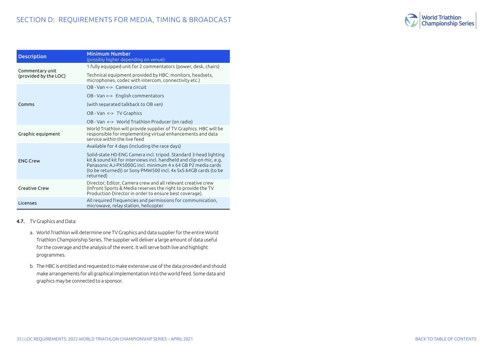

| <b>Description</b>    | Minimum Number<br>(possibly higher depending on venue):                                                                                                                                                                                                                                 |
|-----------------------|-----------------------------------------------------------------------------------------------------------------------------------------------------------------------------------------------------------------------------------------------------------------------------------------|
| Commentary unit       | 1 fully equipped unit for 2 commentators (power, desk, chairs)                                                                                                                                                                                                                          |
| (provided by the LOC) | Technical equipment provided by HBC: monitors, headsets,<br>microphones, codec with intercom, connectivity etc.)                                                                                                                                                                        |
|                       | OB - Van <-> Camera circuit                                                                                                                                                                                                                                                             |
|                       | OB - Van <-> English commentators                                                                                                                                                                                                                                                       |
| Comms                 | (with separated talkback to OB van)                                                                                                                                                                                                                                                     |
|                       | OB - Van <-> TV Graphics                                                                                                                                                                                                                                                                |
|                       | OB - Van <-> World Triathlon Producer (on radio)                                                                                                                                                                                                                                        |
| Graphic equipment     | World Triathlon will provide supplier of TV Graphics. HBC will be<br>responsible for implementing virtual enhancements and data<br>service within the live feed                                                                                                                         |
|                       | Available for 4 days (including the race days)                                                                                                                                                                                                                                          |
| <b>ENG Crew</b>       | Solid-state HD ENG Camera incl. tripod. Standard 3-head lighting<br>kit & sound kit for interviews incl. handheld and clip-on mic, e.g.<br>Panasonic A.J-PX5000G incl. minimum 4 x 64 GB P2 media cards<br>(to be returned)) or Sony PMW500 incl. 4x SxS 64GB cards (to be<br>returned) |
| Creative Crew         | Director, Editor, Camera crew and all relevant creative crew<br>(Infront Sports & Media reserves the right to provide the TV<br>Production Director in order to ensure best coverage).                                                                                                  |
| Licenses              | All required frequencies and permissions for communication,<br>microwave, relay station, helicopter                                                                                                                                                                                     |

#### 4.7. TV Graphics and Data:

- a. World Triathlon will determine one TV Graphics and data supplier for the entire World Triathlon Championship Series. The supplier will deliver a large amount of data useful for the coverage and the analysis of the event. It will serve both live and highlight programmes.
- b. The HBC is entitled and requested to make extensive use of the data provided and should make arrangements for all graphical implementation into the world feed. Some data and graphics may be connected to a sponsor.